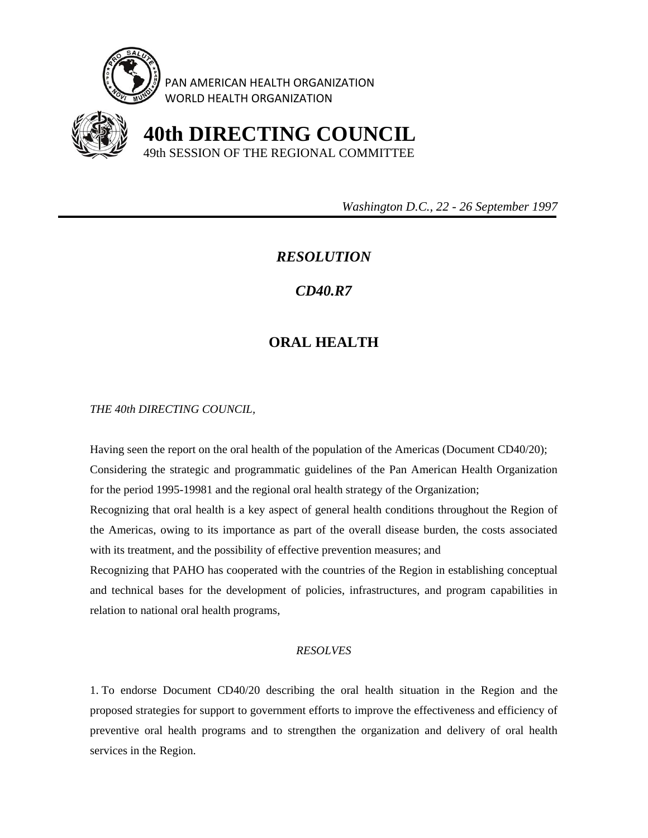

PAN AMERICAN HEALTH ORGANIZATION WORLD HEALTH ORGANIZATION



 **40th DIRECTING COUNCIL** 49th SESSION OF THE REGIONAL COMMITTEE

 *Washington D.C., 22 - 26 September 1997* 

## *RESOLUTION*

## *CD40.R7*

## **ORAL HEALTH**

*THE 40th DIRECTING COUNCIL,* 

Having seen the report on the oral health of the population of the Americas (Document CD40/20); Considering the strategic and programmatic guidelines of the Pan American Health Organization for the period 1995-19981 and the regional oral health strategy of the Organization;

Recognizing that oral health is a key aspect of general health conditions throughout the Region of the Americas, owing to its importance as part of the overall disease burden, the costs associated with its treatment, and the possibility of effective prevention measures; and

Recognizing that PAHO has cooperated with the countries of the Region in establishing conceptual and technical bases for the development of policies, infrastructures, and program capabilities in relation to national oral health programs,

## *RESOLVES*

1. To endorse Document CD40/20 describing the oral health situation in the Region and the proposed strategies for support to government efforts to improve the effectiveness and efficiency of preventive oral health programs and to strengthen the organization and delivery of oral health services in the Region.